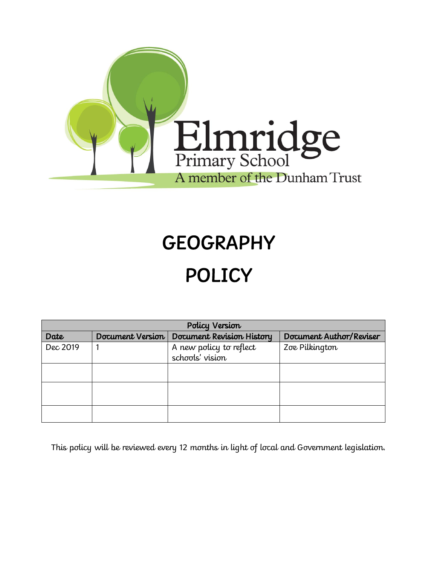

# **GEOGRAPHY** POLICY

| Policy Version |                  |                                            |                         |
|----------------|------------------|--------------------------------------------|-------------------------|
| Date           | Document Version | Document Revision History                  | Document Author/Reviser |
| Dec 2019       |                  | A new policy to reflect<br>schools' vision | Zoe Pilkington          |
|                |                  |                                            |                         |
|                |                  |                                            |                         |
|                |                  |                                            |                         |

This policy will be reviewed every 12 months in light of local and Government legislation.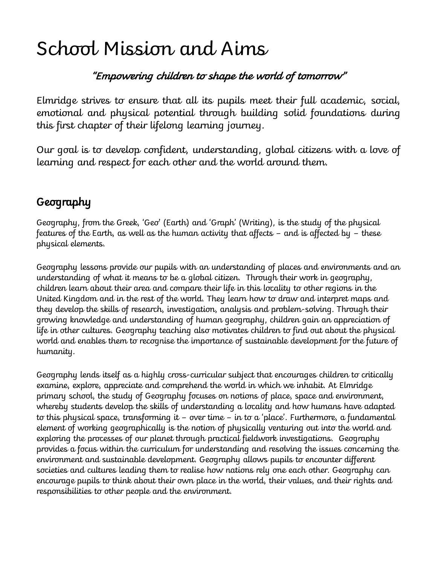# School Mission and Aims

### "Empowering children to shape the world of tomorrow"

Elmridge strives to ensure that all its pupils meet their full academic, social, emotional and physical potential through building solid foundations during this first chapter of their lifelong learning journey.

Our goal is to develop confident, understanding, global citizens with a love of learning and respect for each other and the world around them.

## **Geography**

Geography, from the Greek, 'Geo' (Earth) and 'Graph' (Writing), is the study of the physical features of the Earth, as well as the human activity that affects – and is affected by – these physical elements.

Geography lessons provide our pupils with an understanding of places and environments and an understanding of what it means to be a global citizen. Through their work in geography, children learn about their area and compare their life in this locality to other regions in the United Kingdom and in the rest of the world. They learn how to draw and interpret maps and they develop the skills of research, investigation, analysis and problem-solving. Through their growing knowledge and understanding of human geography, children gain an appreciation of life in other cultures. Geography teaching also motivates children to find out about the physical world and enables them to recognise the importance of sustainable development for the future of humanity.

Geography lends itself as a highly cross-curricular subject that encourages children to critically examine, explore, appreciate and comprehend the world in which we inhabit. At Elmridge primary school, the study of Geography focuses on notions of place, space and environment, whereby students develop the skills of understanding a locality and how humans have adapted to this physical space, transforming it – over time – in to a 'place'. Furthermore, a fundamental element of working geographically is the notion of physically venturing out into the world and exploring the processes of our planet through practical fieldwork investigations. Geography provides a focus within the curriculum for understanding and resolving the issues concerning the environment and sustainable development. Geography allows pupils to encounter different societies and cultures leading them to realise how nations rely one each other. Geography can encourage pupils to think about their own place in the world, their values, and their rights and responsibilities to other people and the environment.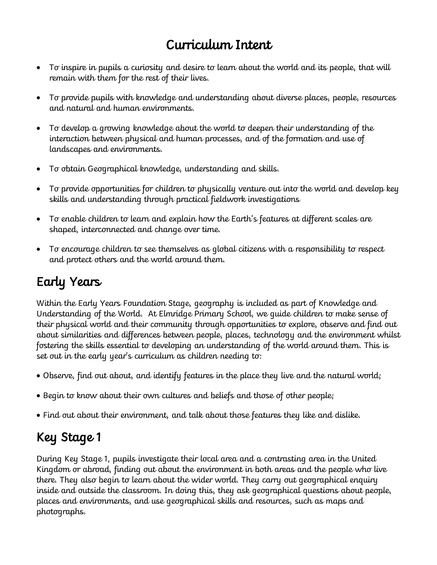# Curriculum Intent

- To inspire in pupils a curiosity and desire to learn about the world and its people, that will remain with them for the rest of their lives.
- To provide pupils with knowledge and understanding about diverse places, people, resources and natural and human environments.
- To develop a growing knowledge about the world to deepen their understanding of the interaction between physical and human processes, and of the formation and use of landscapes and environments.
- To obtain Geographical knowledge, understanding and skills.
- To provide opportunities for children to physically venture out into the world and develop key skills and understanding through practical fieldwork investigations
- To enable children to learn and explain how the Earth's features at different scales are shaped, interconnected and change over time.
- To encourage children to see themselves as global citizens with a responsibility to respect and protect others and the world around them.

# Early Years

Within the Early Years Foundation Stage, geography is included as part of Knowledge and Understanding of the World. At Elmridge Primary School, we guide children to make sense of their physical world and their community through opportunities to explore, observe and find out about similarities and differences between people, places, technology and the environment whilst fostering the skills essential to developing an understanding of the world around them. This is set out in the early year's curriculum as children needing to:

- Observe, find out about, and identify features in the place they live and the natural world;
- Begin to know about their own cultures and beliefs and those of other people;
- Find out about their environment, and talk about those features they like and dislike.

# Key Stage 1

During Key Stage 1, pupils investigate their local area and a contrasting area in the United Kingdom or abroad, finding out about the environment in both areas and the people who live there. They also begin to learn about the wider world. They carry out geographical enquiry inside and outside the classroom. In doing this, they ask geographical questions about people, places and environments, and use geographical skills and resources, such as maps and photographs.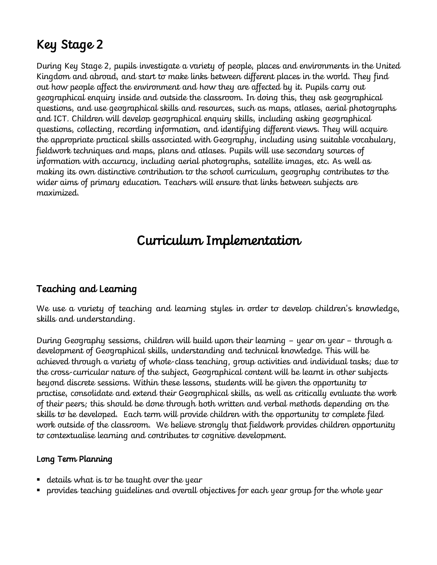# Key Stage 2

During Key Stage 2, pupils investigate a variety of people, places and environments in the United Kingdom and abroad, and start to make links between different places in the world. They find out how people affect the environment and how they are affected by it. Pupils carry out geographical enquiry inside and outside the classroom. In doing this, they ask geographical questions, and use geographical skills and resources, such as maps, atlases, aerial photographs and ICT. Children will develop geographical enquiry skills, including asking geographical questions, collecting, recording information, and identifying different views. They will acquire the appropriate practical skills associated with Geography, including using suitable vocabulary, fieldwork techniques and maps, plans and atlases. Pupils will use secondary sources of information with accuracy, including aerial photographs, satellite images, etc. As well as making its own distinctive contribution to the school curriculum, geography contributes to the wider aims of primary education. Teachers will ensure that links between subjects are maximized.

## Curriculum Implementation

### Teaching and Learning

We use a variety of teaching and learning styles in order to develop children's knowledge, skills and understanding.

During Geography sessions, children will build upon their learning – year on year – through a development of Geographical skills, understanding and technical knowledge. This will be achieved through a variety of whole-class teaching, group activities and individual tasks; due to the cross-curricular nature of the subject, Geographical content will be learnt in other subjects beyond discrete sessions. Within these lessons, students will be given the opportunity to practise, consolidate and extend their Geographical skills, as well as critically evaluate the work of their peers; this should be done through both written and verbal methods depending on the skills to be developed. Each term will provide children with the opportunity to complete filed work outside of the classroom. We believe strongly that fieldwork provides children opportunity to contextualise learning and contributes to cognitive development.

#### Long Term Planning

- $\blacksquare$  details what is to be taught over the year
- provides teaching guidelines and overall objectives for each year group for the whole year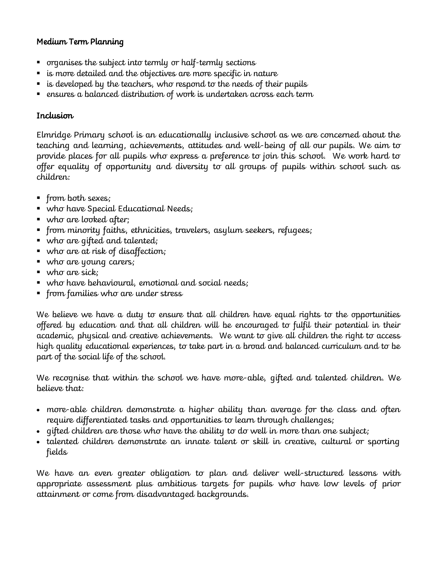#### Medium Term Planning

- organises the subject into termly or half-termly sections
- is more detailed and the objectives are more specific in nature
- $\blacksquare$  is developed by the teachers, who respond to the needs of their pupils
- $\blacksquare$  ensures a balanced distribution of work is undertaken across each term

#### Inclusion

Elmridge Primary school is an educationally inclusive school as we are concerned about the teaching and learning, achievements, attitudes and well-being of all our pupils. We aim to provide places for all pupils who express a preference to join this school. We work hard to offer equality of opportunity and diversity to all groups of pupils within school such as children:

- from both sexes;
- who have Special Educational Needs;
- who are looked after;
- from minority faiths, ethnicities, travelers, asylum seekers, refugees;
- who are gifted and talented;
- who are at risk of disaffection;
- who are young carers;
- who are sick;
- who have behavioural, emotional and social needs;
- from families who are under stress

We believe we have a duty to ensure that all children have equal rights to the opportunities offered by education and that all children will be encouraged to fulfil their potential in their academic, physical and creative achievements. We want to give all children the right to access high quality educational experiences, to take part in a broad and balanced curriculum and to be part of the social life of the school.

We recognise that within the school we have more-able, gifted and talented children. We believe that:

- more-able children demonstrate a higher ability than average for the class and often require differentiated tasks and opportunities to learn through challenges;
- $\bullet$  qifted children are those who have the ability to do well in more than one subject;
- talented children demonstrate an innate talent or skill in creative, cultural or sporting fields

We have an even greater obligation to plan and deliver well-structured lessons with appropriate assessment plus ambitious targets for pupils who have low levels of prior attainment or come from disadvantaged backgrounds.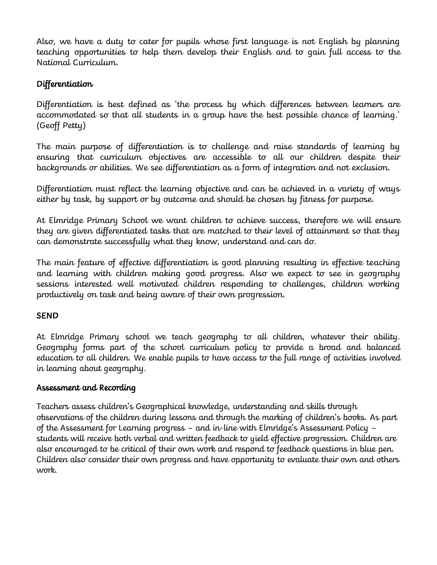Also, we have a duty to cater for pupils whose first language is not English by planning teaching opportunities to help them develop their English and to gain full access to the National Curriculum.

### Differentiation

Differentiation is best defined as 'the process by which differences between learners are accommodated so that all students in a group have the best possible chance of learning.' (Geoff Petty)

The main purpose of differentiation is to challenge and raise standards of learning by ensuring that curriculum objectives are accessible to all our children despite their backgrounds or abilities. We see differentiation as a form of integration and not exclusion.

Differentiation must reflect the learning objective and can be achieved in a variety of ways either by task, by support or by outcome and should be chosen by fitness for purpose.

At Elmridge Primary School we want children to achieve success, therefore we will ensure they are given differentiated tasks that are matched to their level of attainment so that they can demonstrate successfully what they know, understand and can do.

The main feature of effective differentiation is good planning resulting in effective teaching and learning with children making good progress. Also we expect to see in geography sessions interested well motivated children responding to challenges, children working productively on task and being aware of their own progression.

#### SEND

At Elmridge Primary school we teach geography to all children, whatever their ability. Geography forms part of the school curriculum policy to provide a broad and balanced education to all children. We enable pupils to have access to the full range of activities involved in learning about geography.

#### Assessment and Recording

Teachers assess children's Geographical knowledge, understanding and skills through observations of the children during lessons and through the marking of children's books. As part of the Assessment for Learning progress – and in-line with Elmridge's Assessment Policy – students will receive both verbal and written feedback to yield effective progression. Children are also encouraged to be critical of their own work and respond to feedback questions in blue pen. Children also consider their own progress and have opportunity to evaluate their own and others work.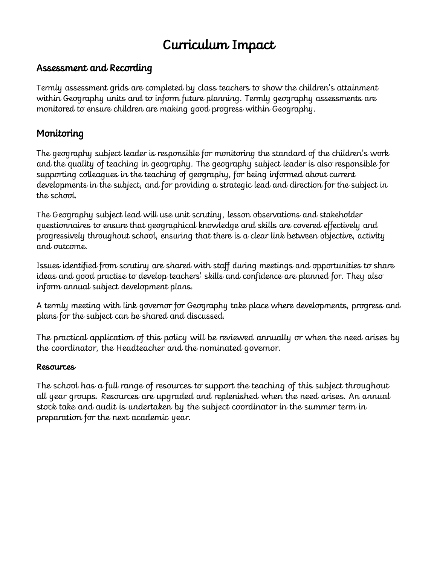# Curriculum Impact

### Assessment and Recording

Termly assessment grids are completed by class teachers to show the children's attainment within Geography units and to inform future planning. Termly geography assessments are monitored to ensure children are making good progress within Geography.

### Monitoring

The geography subject leader is responsible for monitoring the standard of the children's work and the quality of teaching in geography. The geography subject leader is also responsible for supporting colleagues in the teaching of geography, for being informed about current developments in the subject, and for providing a strategic lead and direction for the subject in the school.

The Geography subject lead will use unit scrutiny, lesson observations and stakeholder questionnaires to ensure that geographical knowledge and skills are covered effectively and progressively throughout school, ensuring that there is a clear link between objective, activity and outcome.

Issues identified from scrutiny are shared with staff during meetings and opportunities to share ideas and good practise to develop teachers' skills and confidence are planned for. They also inform annual subject development plans.

A termly meeting with link governor for Geography take place where developments, progress and plans for the subject can be shared and discussed.

The practical application of this policy will be reviewed annually or when the need arises by the coordinator, the Headteacher and the nominated governor.

#### Resources

The school has a full range of resources to support the teaching of this subject throughout all year groups. Resources are upgraded and replenished when the need arises. An annual stock take and audit is undertaken by the subject coordinator in the summer term in preparation for the next academic year.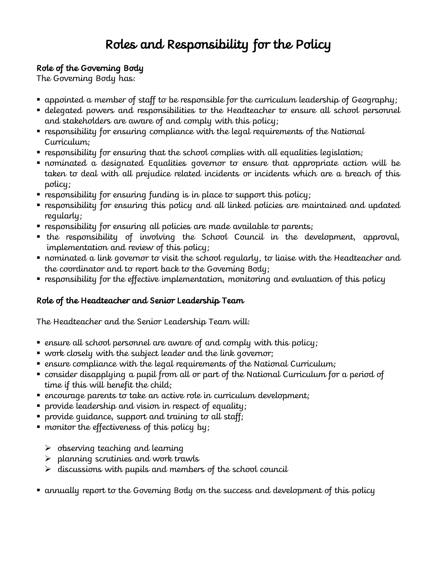# Roles and Responsibility for the Policy

#### Role of the Governing Body

The Governing Body has:

- $\blacksquare$  appointed a member of staff to be responsible for the curriculum leadership of Geography;
- delegated powers and responsibilities to the Headteacher to ensure all school personnel and stakeholders are aware of and comply with this policy;
- responsibility for ensuring compliance with the legal requirements of the National Curriculum;
- $\blacksquare$  responsibility for ensuring that the school complies with all equalities legislation;
- nominated a designated Equalities governor to ensure that appropriate action will be taken to deal with all prejudice related incidents or incidents which are a breach of this policy;
- $\blacksquare$  responsibility for ensuring funding is in place to support this policy;
- responsibility for ensuring this policy and all linked policies are maintained and updated regularly;
- responsibility for ensuring all policies are made available to parents;
- the responsibility of involving the School Council in the development, approval, implementation and review of this policy;
- $\blacksquare$  nominated a link governor to visit the school regularly, to liaise with the Headteacher and the coordinator and to report back to the Governing Body;
- **•** responsibility for the effective implementation, monitoring and evaluation of this policy

### Role of the Headteacher and Senior Leadership Team

The Headteacher and the Senior Leadership Team will:

- $\blacksquare$  ensure all school personnel are aware of and comply with this policy;
- work closely with the subject leader and the link governor;
- ensure compliance with the legal requirements of the National Curriculum;
- consider disapplying a pupil from all or part of the National Curriculum for a period of time if this will benefit the child;
- encourage parents to take an active role in curriculum development;
- provide leadership and vision in respect of equality;
- provide guidance, support and training to all staff;
- monitor the effectiveness of this policy by;
	- $\triangleright$  observing teaching and learning
	- $\triangleright$  planning scrutinies and work trawls
	- $\triangleright$  discussions with pupils and members of the school council
- annually report to the Governing Body on the success and development of this policy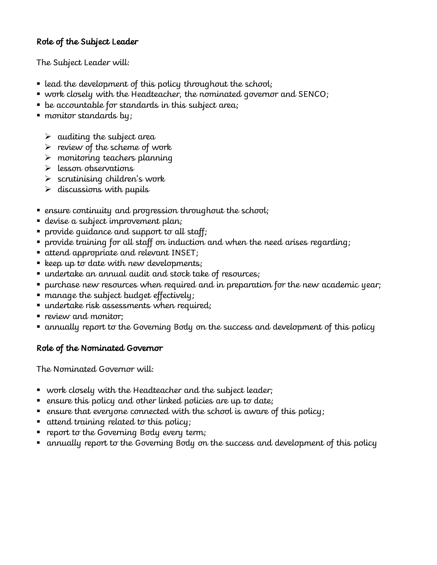#### Role of the Subject Leader

The Subject Leader will:

- $\blacksquare$  lead the development of this policy throughout the school;
- work closely with the Headteacher, the nominated governor and SENCO;
- be accountable for standards in this subject area;
- monitor standards by;
	- $\triangleright$  auditing the subject area
	- $\triangleright$  review of the scheme of work
	- $\triangleright$  monitoring teachers planning
	- $\triangleright$  lesson observations
	- $\triangleright$  scrutinising children's work
	- $\triangleright$  discussions with pupils
- ensure continuity and progression throughout the school;
- devise a subject improvement plan;
- provide guidance and support to all staff;
- provide training for all staff on induction and when the need arises regarding;
- attend appropriate and relevant INSET;
- $\blacksquare$  keep up to date with new developments;
- undertake an annual audit and stock take of resources;
- purchase new resources when required and in preparation for the new academic year;
- manage the subject budget effectively;
- undertake risk assessments when required;
- $\blacksquare$  review and monitor:
- annually report to the Governing Body on the success and development of this policy

#### Role of the Nominated Governor

The Nominated Governor will:

- work closely with the Headteacher and the subject leader;
- ensure this policy and other linked policies are up to date;
- $\;\;\bar{}\;$  ensure that everyone connected with the school is aware of this policy;
- attend training related to this policy;
- $\blacksquare$  report to the Governing Body every term;
- annually report to the Governing Body on the success and development of this policy